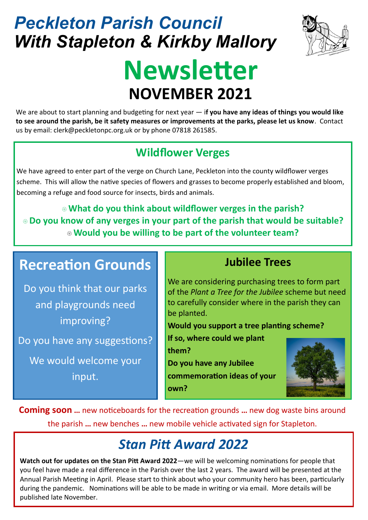## *Peckleton Parish Council With Stapleton & Kirkby Mallory*

# **Newsletter NOVEMBER 2021**

We are about to start planning and budgeting for next year — i**f you have any ideas of things you would like to see around the parish, be it safety measures or improvements at the parks, please let us know**. Contact us by email: clerk@peckletonpc.org.uk or by phone 07818 261585.

### **Wildflower Verges**

We have agreed to enter part of the verge on Church Lane, Peckleton into the county wildflower verges scheme. This will allow the native species of flowers and grasses to become properly established and bloom, becoming a refuge and food source for insects, birds and animals.

**What do you think about wildflower verges in the parish? Do you know of any verges in your part of the parish that would be suitable? Would you be willing to be part of the volunteer team?**

### **Recreation Grounds**

Do you think that our parks and playgrounds need improving?

Do you have any suggestions?

We would welcome your input.

### **Jubilee Trees**

We are considering purchasing trees to form part of the *Plant a Tree for the Jubilee* scheme but need to carefully consider where in the parish they can be planted.

**Would you support a tree planting scheme?** 

**If so, where could we plant** 

**Do you have any Jubilee commemoration ideas of your own?**



**Coming soon …** new noticeboards for the recreation grounds **…** new dog waste bins around the parish **…** new benches **…** new mobile vehicle activated sign for Stapleton.

**them?** 

### *Stan Pitt Award 2022*

**Watch out for updates on the Stan Pitt Award 2022**—we will be welcoming nominations for people that you feel have made a real difference in the Parish over the last 2 years. The award will be presented at the Annual Parish Meeting in April. Please start to think about who your community hero has been, particularly during the pandemic. Nominations will be able to be made in writing or via email. More details will be published late November.